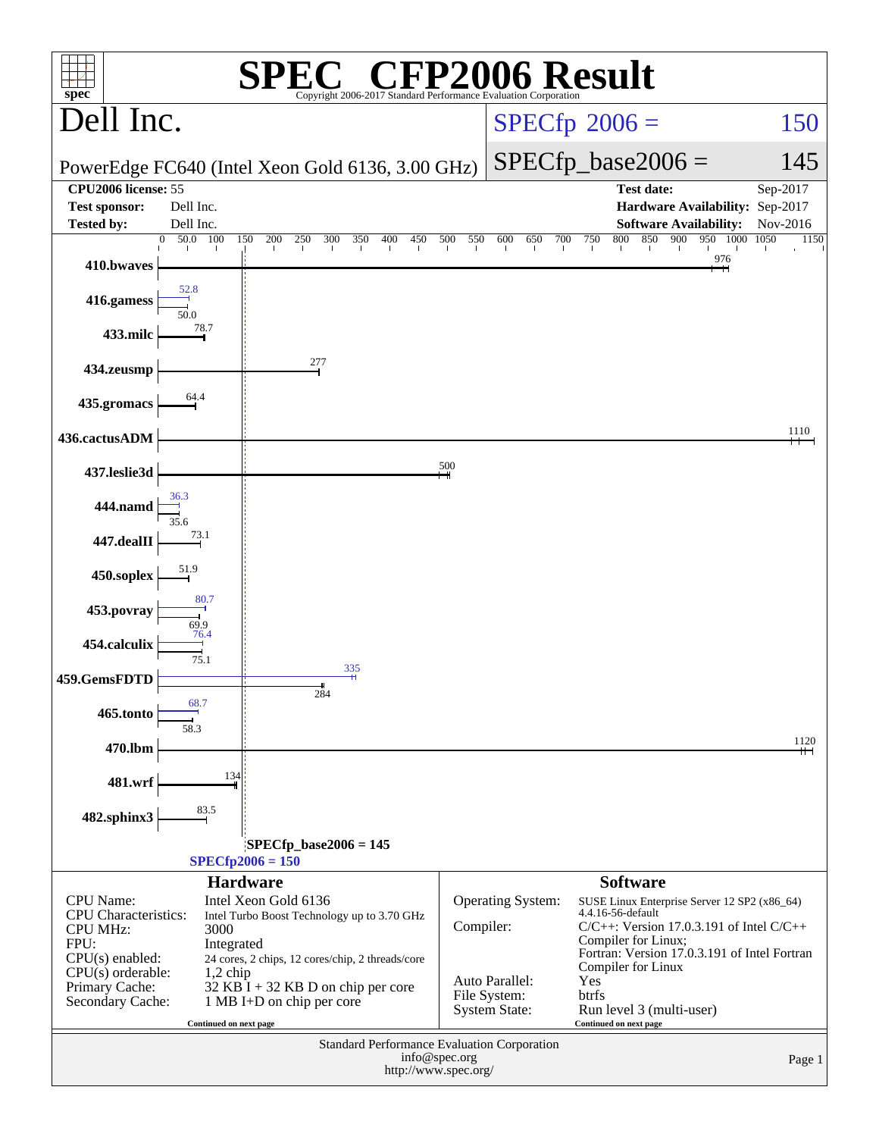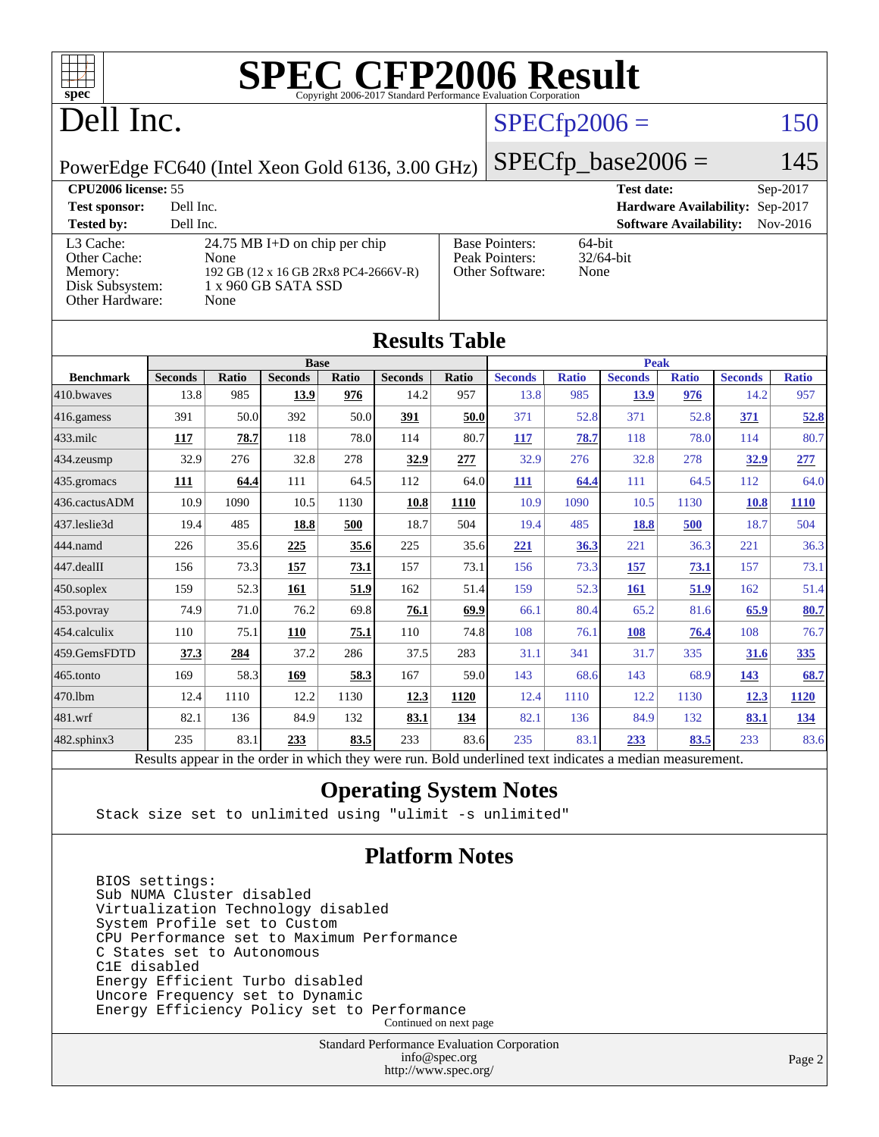

# Dell Inc.

### $SPECfp2006 = 150$  $SPECfp2006 = 150$

PowerEdge FC640 (Intel Xeon Gold 6136, 3.00 GHz)

 $SPECfp\_base2006 = 145$ **[CPU2006 license:](http://www.spec.org/auto/cpu2006/Docs/result-fields.html#CPU2006license)** 55 **[Test date:](http://www.spec.org/auto/cpu2006/Docs/result-fields.html#Testdate)** Sep-2017

| <b>CI CHOOD HULHOU</b> 22                                                  |                                                                                                              |                                                            | 1 COU GUULO                            | UUU U U U  |
|----------------------------------------------------------------------------|--------------------------------------------------------------------------------------------------------------|------------------------------------------------------------|----------------------------------------|------------|
| <b>Test sponsor:</b>                                                       | Dell Inc.                                                                                                    |                                                            | <b>Hardware Availability: Sep-2017</b> |            |
| <b>Tested by:</b>                                                          | Dell Inc.                                                                                                    |                                                            | <b>Software Availability:</b>          | $Nov-2016$ |
| L3 Cache:<br>Other Cache:<br>Memory:<br>Disk Subsystem:<br>Other Hardware: | 24.75 MB I+D on chip per chip<br>None<br>192 GB (12 x 16 GB 2Rx8 PC4-2666V-R)<br>1 x 960 GB SATA SSD<br>None | <b>Base Pointers:</b><br>Peak Pointers:<br>Other Software: | 64-bit<br>$32/64$ -bit<br>None         |            |

| <b>Results Table</b> |                                                                                                          |       |                |       |                |       |                |              |                |              |                |              |
|----------------------|----------------------------------------------------------------------------------------------------------|-------|----------------|-------|----------------|-------|----------------|--------------|----------------|--------------|----------------|--------------|
|                      | <b>Base</b>                                                                                              |       |                |       |                |       | <b>Peak</b>    |              |                |              |                |              |
| <b>Benchmark</b>     | <b>Seconds</b>                                                                                           | Ratio | <b>Seconds</b> | Ratio | <b>Seconds</b> | Ratio | <b>Seconds</b> | <b>Ratio</b> | <b>Seconds</b> | <b>Ratio</b> | <b>Seconds</b> | <b>Ratio</b> |
| 410.bwayes           | 13.8                                                                                                     | 985   | 13.9           | 976   | 14.2           | 957   | 13.8           | 985          | 13.9           | 976          | 14.2           | 957          |
| 416.gamess           | 391                                                                                                      | 50.0  | 392            | 50.0  | 391            | 50.0  | 371            | 52.8         | 371            | 52.8         | 371            | 52.8         |
| $433$ .milc          | 117                                                                                                      | 78.7  | 118            | 78.0  | 114            | 80.7  | <b>117</b>     | 78.7         | 118            | 78.0         | 114            | 80.7         |
| 434.zeusmp           | 32.9                                                                                                     | 276   | 32.8           | 278   | 32.9           | 277   | 32.9           | 276          | 32.8           | 278          | 32.9           | 277          |
| 435 gromacs          | 111                                                                                                      | 64.4  | 111            | 64.5  | 112            | 64.0  | 111            | 64.4         | 111            | 64.5         | 112            | 64.0         |
| 436.cactusADM        | 10.9                                                                                                     | 1090  | 10.5           | 1130  | 10.8           | 1110  | 10.9           | 1090         | 10.5           | 1130         | 10.8           | <b>1110</b>  |
| 437.leslie3d         | 19.4                                                                                                     | 485   | 18.8           | 500   | 18.7           | 504   | 19.4           | 485          | 18.8           | 500          | 18.7           | 504          |
| 444.namd             | 226                                                                                                      | 35.6  | 225            | 35.6  | 225            | 35.6  | 221            | 36.3         | 221            | 36.3         | 221            | 36.3         |
| 447.dealII           | 156                                                                                                      | 73.3  | 157            | 73.1  | 157            | 73.1  | 156            | 73.3         | 157            | 73.1         | 157            | 73.1         |
| $450$ .soplex        | 159                                                                                                      | 52.3  | 161            | 51.9  | 162            | 51.4  | 159            | 52.3         | <b>161</b>     | 51.9         | 162            | 51.4         |
| 453.povray           | 74.9                                                                                                     | 71.0  | 76.2           | 69.8  | 76.1           | 69.9  | 66.1           | 80.4         | 65.2           | 81.6         | 65.9           | 80.7         |
| 454.calculix         | 110                                                                                                      | 75.1  | 110            | 75.1  | 110            | 74.8  | 108            | 76.1         | 108            | 76.4         | 108            | 76.7         |
| 459.GemsFDTD         | 37.3                                                                                                     | 284   | 37.2           | 286   | 37.5           | 283   | 31.1           | 341          | 31.7           | 335          | 31.6           | 335          |
| 465.tonto            | 169                                                                                                      | 58.3  | 169            | 58.3  | 167            | 59.0  | 143            | 68.6         | 143            | 68.9         | <u>143</u>     | 68.7         |
| 470.1bm              | 12.4                                                                                                     | 1110  | 12.2           | 1130  | 12.3           | 1120  | 12.4           | 1110         | 12.2           | 1130         | 12.3           | 1120         |
| 481.wrf              | 82.1                                                                                                     | 136   | 84.9           | 132   | 83.1           | 134   | 82.1           | 136          | 84.9           | 132          | 83.1           | <u>134</u>   |
| 482.sphinx3          | 235                                                                                                      | 83.1  | 233            | 83.5  | 233            | 83.6  | 235            | 83.1         | 233            | 83.5         | 233            | 83.6         |
|                      | Results appear in the order in which they were run. Bold underlined text indicates a median measurement. |       |                |       |                |       |                |              |                |              |                |              |

### **[Operating System Notes](http://www.spec.org/auto/cpu2006/Docs/result-fields.html#OperatingSystemNotes)**

Stack size set to unlimited using "ulimit -s unlimited"

### **[Platform Notes](http://www.spec.org/auto/cpu2006/Docs/result-fields.html#PlatformNotes)**

 BIOS settings: Sub NUMA Cluster disabled Virtualization Technology disabled System Profile set to Custom CPU Performance set to Maximum Performance C States set to Autonomous C1E disabled Energy Efficient Turbo disabled Uncore Frequency set to Dynamic Energy Efficiency Policy set to Performance Continued on next page

> Standard Performance Evaluation Corporation [info@spec.org](mailto:info@spec.org) <http://www.spec.org/>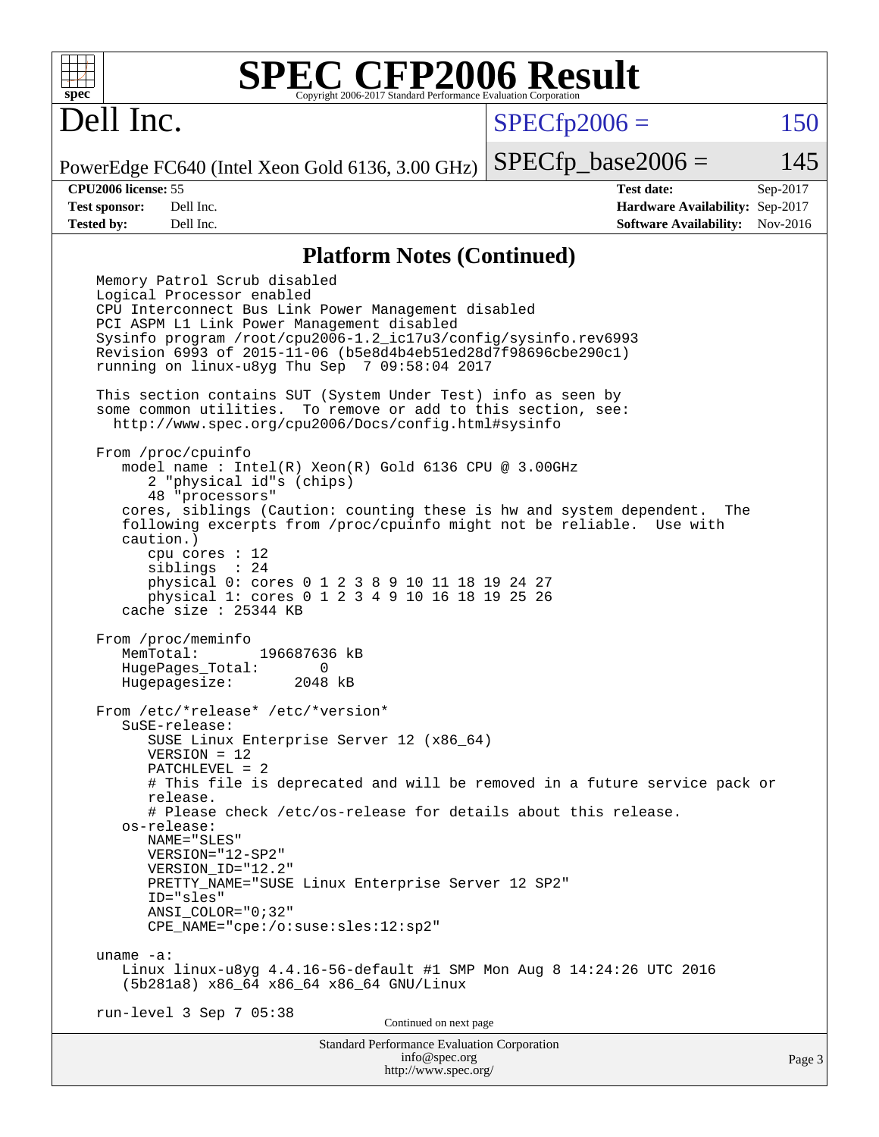

## Dell Inc.

 $SPECTp2006 = 150$ 

PowerEdge FC640 (Intel Xeon Gold 6136, 3.00 GHz)  $SPECTp\_base2006 = 145$ 

**[CPU2006 license:](http://www.spec.org/auto/cpu2006/Docs/result-fields.html#CPU2006license)** 55 **[Test date:](http://www.spec.org/auto/cpu2006/Docs/result-fields.html#Testdate)** Sep-2017 **[Test sponsor:](http://www.spec.org/auto/cpu2006/Docs/result-fields.html#Testsponsor)** Dell Inc. **[Hardware Availability:](http://www.spec.org/auto/cpu2006/Docs/result-fields.html#HardwareAvailability)** Sep-2017 **[Tested by:](http://www.spec.org/auto/cpu2006/Docs/result-fields.html#Testedby)** Dell Inc. **[Software Availability:](http://www.spec.org/auto/cpu2006/Docs/result-fields.html#SoftwareAvailability)** Nov-2016

### **[Platform Notes \(Continued\)](http://www.spec.org/auto/cpu2006/Docs/result-fields.html#PlatformNotes)**

Standard Performance Evaluation Corporation [info@spec.org](mailto:info@spec.org) Memory Patrol Scrub disabled Logical Processor enabled CPU Interconnect Bus Link Power Management disabled PCI ASPM L1 Link Power Management disabled Sysinfo program /root/cpu2006-1.2\_ic17u3/config/sysinfo.rev6993 Revision 6993 of 2015-11-06 (b5e8d4b4eb51ed28d7f98696cbe290c1) running on linux-u8yg Thu Sep 7 09:58:04 2017 This section contains SUT (System Under Test) info as seen by some common utilities. To remove or add to this section, see: <http://www.spec.org/cpu2006/Docs/config.html#sysinfo> From /proc/cpuinfo model name : Intel(R) Xeon(R) Gold 6136 CPU @ 3.00GHz 2 "physical id"s (chips) 48 "processors" cores, siblings (Caution: counting these is hw and system dependent. The following excerpts from /proc/cpuinfo might not be reliable. Use with caution.) cpu cores : 12 siblings : 24 physical 0: cores 0 1 2 3 8 9 10 11 18 19 24 27 physical 1: cores 0 1 2 3 4 9 10 16 18 19 25 26 cache size : 25344 KB From /proc/meminfo MemTotal: 196687636 kB HugePages\_Total: 0<br>Hugepagesize: 2048 kB Hugepagesize: From /etc/\*release\* /etc/\*version\* SuSE-release: SUSE Linux Enterprise Server 12 (x86\_64) VERSION = 12 PATCHLEVEL = 2 # This file is deprecated and will be removed in a future service pack or release. # Please check /etc/os-release for details about this release. os-release: NAME="SLES" VERSION="12-SP2" VERSION\_ID="12.2" PRETTY\_NAME="SUSE Linux Enterprise Server 12 SP2" ID="sles" ANSI\_COLOR="0;32" CPE\_NAME="cpe:/o:suse:sles:12:sp2" uname -a: Linux linux-u8yg 4.4.16-56-default #1 SMP Mon Aug 8 14:24:26 UTC 2016 (5b281a8) x86\_64 x86\_64 x86\_64 GNU/Linux run-level 3 Sep 7 05:38 Continued on next page

<http://www.spec.org/>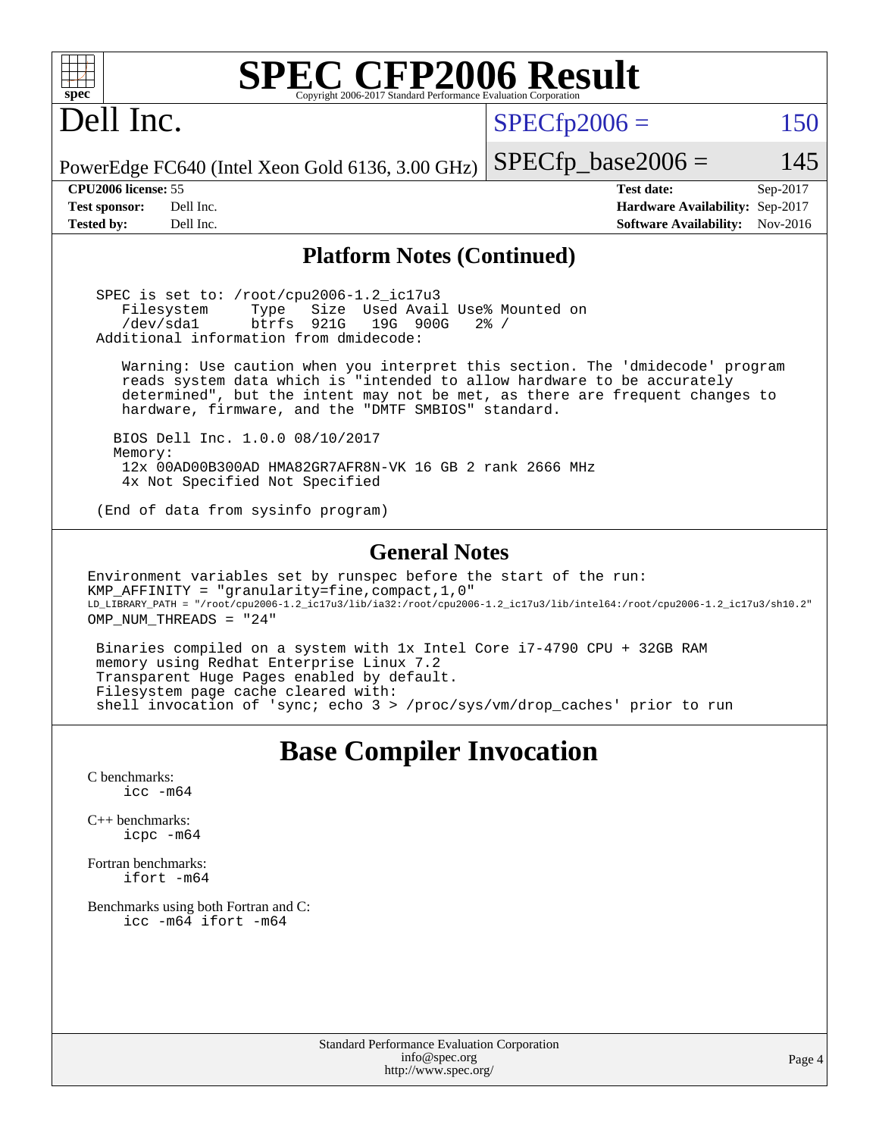| <b>SPEC CFP2006 Result</b><br>$spec^*$<br>Copyright 2006-2017 Standard Performance Evaluation Corporation                                                                                                                                                                                                                                                                                                                                                                                                                                                                                       |                                                                                                               |  |
|-------------------------------------------------------------------------------------------------------------------------------------------------------------------------------------------------------------------------------------------------------------------------------------------------------------------------------------------------------------------------------------------------------------------------------------------------------------------------------------------------------------------------------------------------------------------------------------------------|---------------------------------------------------------------------------------------------------------------|--|
| Dell Inc.                                                                                                                                                                                                                                                                                                                                                                                                                                                                                                                                                                                       | $SPECfp2006 =$<br>150                                                                                         |  |
| PowerEdge FC640 (Intel Xeon Gold 6136, 3.00 GHz)                                                                                                                                                                                                                                                                                                                                                                                                                                                                                                                                                | $SPECfp\_base2006 =$<br>145                                                                                   |  |
| CPU2006 license: 55<br><b>Test sponsor:</b><br>Dell Inc.<br>Dell Inc.<br><b>Tested by:</b>                                                                                                                                                                                                                                                                                                                                                                                                                                                                                                      | <b>Test date:</b><br>Sep-2017<br>Hardware Availability: Sep-2017<br>Nov-2016<br><b>Software Availability:</b> |  |
| <b>Platform Notes (Continued)</b>                                                                                                                                                                                                                                                                                                                                                                                                                                                                                                                                                               |                                                                                                               |  |
| SPEC is set to: /root/cpu2006-1.2_ic17u3<br>Size Used Avail Use% Mounted on<br>Filesystem<br>Type<br>921G<br>/dev/sda1<br>btrfs<br>19G 900G<br>Additional information from dmidecode:                                                                                                                                                                                                                                                                                                                                                                                                           | $2\frac{6}{9}$ /                                                                                              |  |
| Warning: Use caution when you interpret this section. The 'dmidecode' program<br>reads system data which is "intended to allow hardware to be accurately<br>determined", but the intent may not be met, as there are frequent changes to<br>hardware, firmware, and the "DMTF SMBIOS" standard.                                                                                                                                                                                                                                                                                                 |                                                                                                               |  |
| BIOS Dell Inc. 1.0.0 08/10/2017<br>Memory:<br>12x 00AD00B300AD HMA82GR7AFR8N-VK 16 GB 2 rank 2666 MHz<br>4x Not Specified Not Specified                                                                                                                                                                                                                                                                                                                                                                                                                                                         |                                                                                                               |  |
| (End of data from sysinfo program)                                                                                                                                                                                                                                                                                                                                                                                                                                                                                                                                                              |                                                                                                               |  |
| <b>General Notes</b><br>Environment variables set by runspec before the start of the run:<br>KMP_AFFINITY = "granularity=fine, compact, 1, 0"<br>LD_LIBRARY_PATH = "/root/cpu2006-1.2_ic17u3/lib/ia32:/root/cpu2006-1.2_ic17u3/lib/intel64:/root/cpu2006-1.2_ic17u3/sh10.2"<br>OMP_NUM_THREADS = "24"<br>Binaries compiled on a system with 1x Intel Core i7-4790 CPU + 32GB RAM<br>memory using Redhat Enterprise Linux 7.2<br>Transparent Huge Pages enabled by default.<br>Filesystem page cache cleared with:<br>shell invocation of 'sync; echo 3 > /proc/sys/vm/drop_caches' prior to run |                                                                                                               |  |
| <b>Base Compiler Invocation</b><br>C benchmarks:<br>$\text{icc}$ $-\text{m64}$<br>$C_{++}$ benchmarks:<br>icpc -m64<br>Fortran benchmarks:<br>ifort -m64<br>Benchmarks using both Fortran and C:<br>icc -m64 ifort -m64                                                                                                                                                                                                                                                                                                                                                                         |                                                                                                               |  |
| Standard Performance Evaluation Corporation<br>info@spec.org                                                                                                                                                                                                                                                                                                                                                                                                                                                                                                                                    | Page                                                                                                          |  |

<http://www.spec.org/>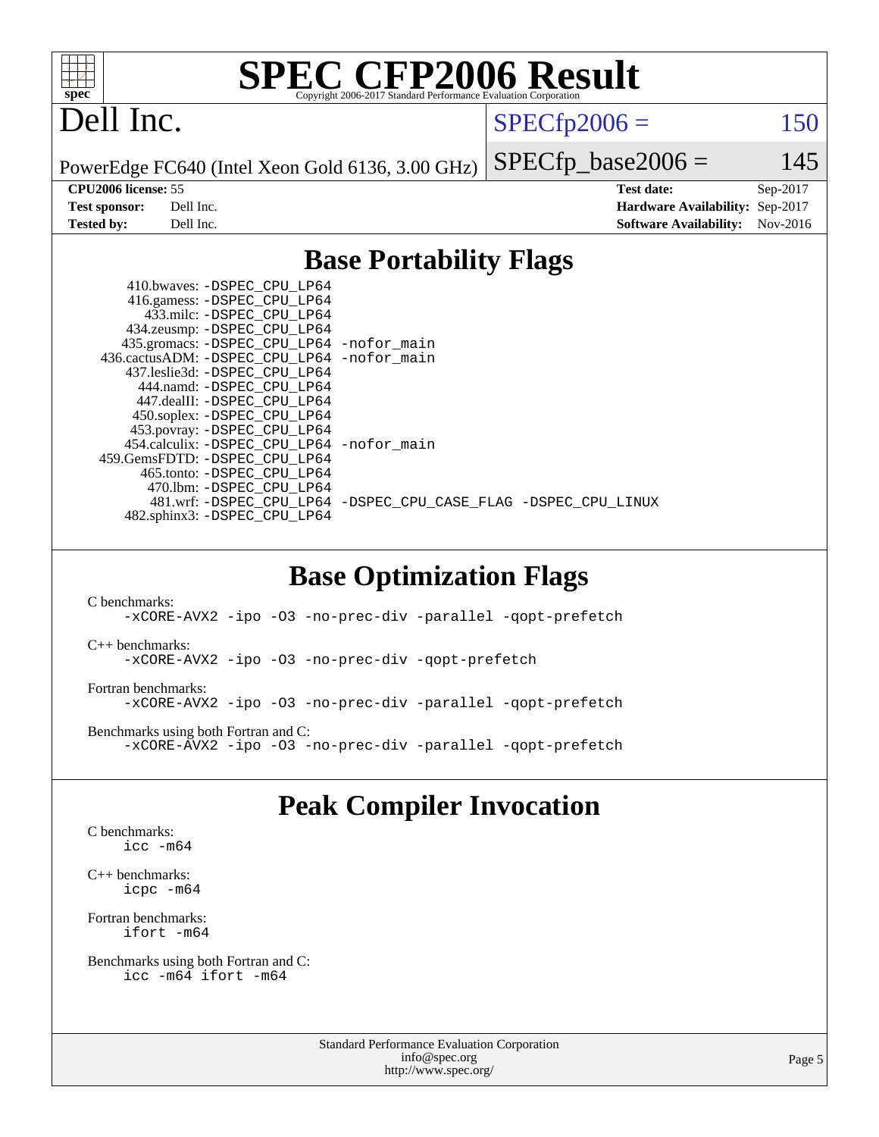

## Dell Inc.

 $SPECTp2006 = 150$ 

PowerEdge FC640 (Intel Xeon Gold 6136, 3.00 GHz)

 $SPECfp\_base2006 = 145$ 

**[CPU2006 license:](http://www.spec.org/auto/cpu2006/Docs/result-fields.html#CPU2006license)** 55 **[Test date:](http://www.spec.org/auto/cpu2006/Docs/result-fields.html#Testdate)** Sep-2017 **[Test sponsor:](http://www.spec.org/auto/cpu2006/Docs/result-fields.html#Testsponsor)** Dell Inc. **[Hardware Availability:](http://www.spec.org/auto/cpu2006/Docs/result-fields.html#HardwareAvailability)** Sep-2017 **[Tested by:](http://www.spec.org/auto/cpu2006/Docs/result-fields.html#Testedby)** Dell Inc. **[Software Availability:](http://www.spec.org/auto/cpu2006/Docs/result-fields.html#SoftwareAvailability)** Nov-2016

### **[Base Portability Flags](http://www.spec.org/auto/cpu2006/Docs/result-fields.html#BasePortabilityFlags)**

| 410.bwaves: -DSPEC CPU LP64                              |                                                                |
|----------------------------------------------------------|----------------------------------------------------------------|
| 416.gamess: -DSPEC_CPU_LP64<br>433.milc: -DSPEC CPU LP64 |                                                                |
| 434.zeusmp: - DSPEC_CPU_LP64                             |                                                                |
| 435.gromacs: -DSPEC_CPU_LP64 -nofor_main                 |                                                                |
| 436.cactusADM: - DSPEC CPU LP64 - nofor main             |                                                                |
| 437.leslie3d: -DSPEC CPU LP64                            |                                                                |
| 444.namd: -DSPEC CPU LP64                                |                                                                |
| 447.dealII: -DSPEC CPU LP64                              |                                                                |
| 450.soplex: -DSPEC_CPU_LP64                              |                                                                |
| 453.povray: -DSPEC CPU LP64                              |                                                                |
| 454.calculix: - DSPEC CPU LP64 - nofor main              |                                                                |
| 459. GemsFDTD: - DSPEC CPU LP64                          |                                                                |
| 465.tonto: - DSPEC CPU LP64                              |                                                                |
| 470.1bm: - DSPEC CPU LP64                                |                                                                |
|                                                          | 481.wrf: -DSPEC CPU_LP64 -DSPEC_CPU_CASE_FLAG -DSPEC_CPU_LINUX |
| 482.sphinx3: -DSPEC_CPU_LP64                             |                                                                |

### **[Base Optimization Flags](http://www.spec.org/auto/cpu2006/Docs/result-fields.html#BaseOptimizationFlags)**

[C benchmarks](http://www.spec.org/auto/cpu2006/Docs/result-fields.html#Cbenchmarks): [-xCORE-AVX2](http://www.spec.org/cpu2006/results/res2017q4/cpu2006-20170918-49842.flags.html#user_CCbase_f-xCORE-AVX2) [-ipo](http://www.spec.org/cpu2006/results/res2017q4/cpu2006-20170918-49842.flags.html#user_CCbase_f-ipo) [-O3](http://www.spec.org/cpu2006/results/res2017q4/cpu2006-20170918-49842.flags.html#user_CCbase_f-O3) [-no-prec-div](http://www.spec.org/cpu2006/results/res2017q4/cpu2006-20170918-49842.flags.html#user_CCbase_f-no-prec-div) [-parallel](http://www.spec.org/cpu2006/results/res2017q4/cpu2006-20170918-49842.flags.html#user_CCbase_f-parallel) [-qopt-prefetch](http://www.spec.org/cpu2006/results/res2017q4/cpu2006-20170918-49842.flags.html#user_CCbase_f-qopt-prefetch) [C++ benchmarks:](http://www.spec.org/auto/cpu2006/Docs/result-fields.html#CXXbenchmarks) [-xCORE-AVX2](http://www.spec.org/cpu2006/results/res2017q4/cpu2006-20170918-49842.flags.html#user_CXXbase_f-xCORE-AVX2) [-ipo](http://www.spec.org/cpu2006/results/res2017q4/cpu2006-20170918-49842.flags.html#user_CXXbase_f-ipo) [-O3](http://www.spec.org/cpu2006/results/res2017q4/cpu2006-20170918-49842.flags.html#user_CXXbase_f-O3) [-no-prec-div](http://www.spec.org/cpu2006/results/res2017q4/cpu2006-20170918-49842.flags.html#user_CXXbase_f-no-prec-div) [-qopt-prefetch](http://www.spec.org/cpu2006/results/res2017q4/cpu2006-20170918-49842.flags.html#user_CXXbase_f-qopt-prefetch) [Fortran benchmarks](http://www.spec.org/auto/cpu2006/Docs/result-fields.html#Fortranbenchmarks): [-xCORE-AVX2](http://www.spec.org/cpu2006/results/res2017q4/cpu2006-20170918-49842.flags.html#user_FCbase_f-xCORE-AVX2) [-ipo](http://www.spec.org/cpu2006/results/res2017q4/cpu2006-20170918-49842.flags.html#user_FCbase_f-ipo) [-O3](http://www.spec.org/cpu2006/results/res2017q4/cpu2006-20170918-49842.flags.html#user_FCbase_f-O3) [-no-prec-div](http://www.spec.org/cpu2006/results/res2017q4/cpu2006-20170918-49842.flags.html#user_FCbase_f-no-prec-div) [-parallel](http://www.spec.org/cpu2006/results/res2017q4/cpu2006-20170918-49842.flags.html#user_FCbase_f-parallel) [-qopt-prefetch](http://www.spec.org/cpu2006/results/res2017q4/cpu2006-20170918-49842.flags.html#user_FCbase_f-qopt-prefetch) [Benchmarks using both Fortran and C](http://www.spec.org/auto/cpu2006/Docs/result-fields.html#BenchmarksusingbothFortranandC): [-xCORE-AVX2](http://www.spec.org/cpu2006/results/res2017q4/cpu2006-20170918-49842.flags.html#user_CC_FCbase_f-xCORE-AVX2) [-ipo](http://www.spec.org/cpu2006/results/res2017q4/cpu2006-20170918-49842.flags.html#user_CC_FCbase_f-ipo) [-O3](http://www.spec.org/cpu2006/results/res2017q4/cpu2006-20170918-49842.flags.html#user_CC_FCbase_f-O3) [-no-prec-div](http://www.spec.org/cpu2006/results/res2017q4/cpu2006-20170918-49842.flags.html#user_CC_FCbase_f-no-prec-div) [-parallel](http://www.spec.org/cpu2006/results/res2017q4/cpu2006-20170918-49842.flags.html#user_CC_FCbase_f-parallel) [-qopt-prefetch](http://www.spec.org/cpu2006/results/res2017q4/cpu2006-20170918-49842.flags.html#user_CC_FCbase_f-qopt-prefetch)

### **[Peak Compiler Invocation](http://www.spec.org/auto/cpu2006/Docs/result-fields.html#PeakCompilerInvocation)**

[C benchmarks](http://www.spec.org/auto/cpu2006/Docs/result-fields.html#Cbenchmarks): [icc -m64](http://www.spec.org/cpu2006/results/res2017q4/cpu2006-20170918-49842.flags.html#user_CCpeak_intel_icc_64bit_bda6cc9af1fdbb0edc3795bac97ada53)

[C++ benchmarks:](http://www.spec.org/auto/cpu2006/Docs/result-fields.html#CXXbenchmarks) [icpc -m64](http://www.spec.org/cpu2006/results/res2017q4/cpu2006-20170918-49842.flags.html#user_CXXpeak_intel_icpc_64bit_fc66a5337ce925472a5c54ad6a0de310)

[Fortran benchmarks](http://www.spec.org/auto/cpu2006/Docs/result-fields.html#Fortranbenchmarks): [ifort -m64](http://www.spec.org/cpu2006/results/res2017q4/cpu2006-20170918-49842.flags.html#user_FCpeak_intel_ifort_64bit_ee9d0fb25645d0210d97eb0527dcc06e)

[Benchmarks using both Fortran and C](http://www.spec.org/auto/cpu2006/Docs/result-fields.html#BenchmarksusingbothFortranandC): [icc -m64](http://www.spec.org/cpu2006/results/res2017q4/cpu2006-20170918-49842.flags.html#user_CC_FCpeak_intel_icc_64bit_bda6cc9af1fdbb0edc3795bac97ada53) [ifort -m64](http://www.spec.org/cpu2006/results/res2017q4/cpu2006-20170918-49842.flags.html#user_CC_FCpeak_intel_ifort_64bit_ee9d0fb25645d0210d97eb0527dcc06e)

> Standard Performance Evaluation Corporation [info@spec.org](mailto:info@spec.org) <http://www.spec.org/>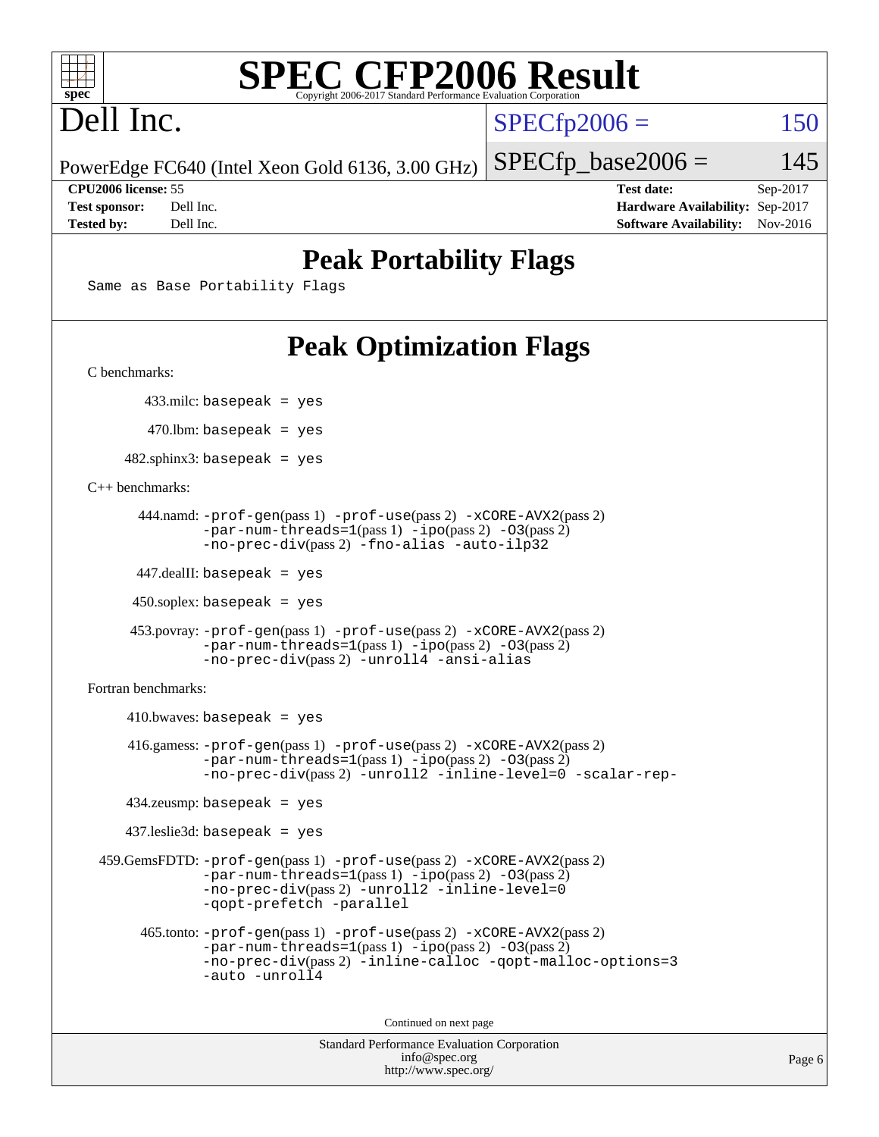

# Dell Inc.

 $SPECTp2006 = 150$ 

PowerEdge FC640 (Intel Xeon Gold 6136, 3.00 GHz)

 $SPECTp\_base2006 = 145$ 

**[CPU2006 license:](http://www.spec.org/auto/cpu2006/Docs/result-fields.html#CPU2006license)** 55 **[Test date:](http://www.spec.org/auto/cpu2006/Docs/result-fields.html#Testdate)** Sep-2017 **[Test sponsor:](http://www.spec.org/auto/cpu2006/Docs/result-fields.html#Testsponsor)** Dell Inc. **[Hardware Availability:](http://www.spec.org/auto/cpu2006/Docs/result-fields.html#HardwareAvailability)** Sep-2017 **[Tested by:](http://www.spec.org/auto/cpu2006/Docs/result-fields.html#Testedby)** Dell Inc. **[Software Availability:](http://www.spec.org/auto/cpu2006/Docs/result-fields.html#SoftwareAvailability)** Nov-2016

### **[Peak Portability Flags](http://www.spec.org/auto/cpu2006/Docs/result-fields.html#PeakPortabilityFlags)**

Same as Base Portability Flags

## **[Peak Optimization Flags](http://www.spec.org/auto/cpu2006/Docs/result-fields.html#PeakOptimizationFlags)**

[C benchmarks](http://www.spec.org/auto/cpu2006/Docs/result-fields.html#Cbenchmarks):

433.milc: basepeak = yes

470.lbm: basepeak = yes

 $482$ .sphinx3: basepeak = yes

[C++ benchmarks:](http://www.spec.org/auto/cpu2006/Docs/result-fields.html#CXXbenchmarks)

```
 444.namd: -prof-gen(pass 1) -prof-use(pass 2) -xCORE-AVX2(pass 2)
      -par-num-threads=1-ipo-O3(pass 2)-no-prec-div(pass 2) -fno-alias -auto-ilp32
```
447.dealII: basepeak = yes

 $450$ .soplex: basepeak = yes

```
 453.povray: -prof-gen(pass 1) -prof-use(pass 2) -xCORE-AVX2(pass 2)
        -par-num-threads=1-ipo-O3(pass 2)-no-prec-div(pass 2) -unroll4 -ansi-alias
```
[Fortran benchmarks](http://www.spec.org/auto/cpu2006/Docs/result-fields.html#Fortranbenchmarks):

```
410.bwaves: basepeak = yes 416.gamess: -prof-gen(pass 1) -prof-use(pass 2) -xCORE-AVX2(pass 2)
            -par-num-threads=1-ipo-O3(pass 2)-no-prec-div(pass 2) -unroll2 -inline-level=0 -scalar-rep-
   434.zeusmp: basepeak = yes
   437.leslie3d: basepeak = yes
459.GemsFDTD: -prof-gen(pass 1) -prof-use(pass 2) -xCORE-AVX2(pass 2)
            -par-num-threads=1(pass 1) -ipo(pass 2) -O3(pass 2)
            -no-prec-div(pass 2) -unroll2 -inline-level=0
            -qopt-prefetch -parallel
     465.tonto: -prof-gen(pass 1) -prof-use(pass 2) -xCORE-AVX2(pass 2)
            -par-num-threads=1(pass 1) -ipo(pass 2) -O3(pass 2)
            -no-prec-div-inline-calloc-qopt-malloc-options=3
            -auto -unroll4
```
Continued on next page

```
Standard Performance Evaluation Corporation
            info@spec.org
          http://www.spec.org/
```